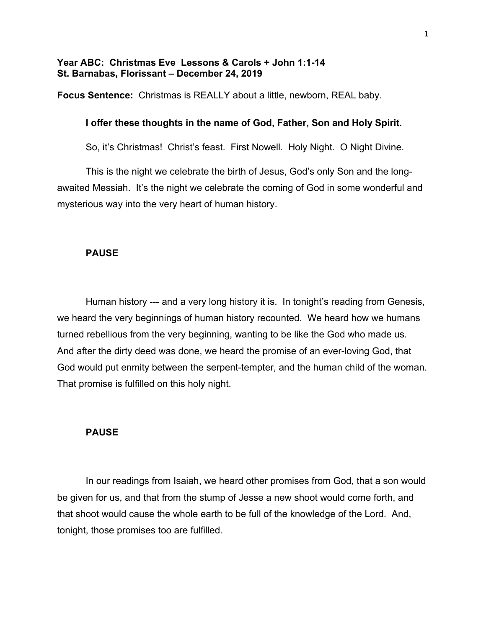# **Year ABC: Christmas Eve Lessons & Carols + John 1:1-14 St. Barnabas, Florissant – December 24, 2019**

**Focus Sentence:** Christmas is REALLY about a little, newborn, REAL baby.

# **I offer these thoughts in the name of God, Father, Son and Holy Spirit.**

So, it's Christmas! Christ's feast. First Nowell. Holy Night. O Night Divine.

This is the night we celebrate the birth of Jesus, God's only Son and the longawaited Messiah. It's the night we celebrate the coming of God in some wonderful and mysterious way into the very heart of human history.

### **PAUSE**

Human history --- and a very long history it is. In tonight's reading from Genesis, we heard the very beginnings of human history recounted. We heard how we humans turned rebellious from the very beginning, wanting to be like the God who made us. And after the dirty deed was done, we heard the promise of an ever-loving God, that God would put enmity between the serpent-tempter, and the human child of the woman. That promise is fulfilled on this holy night.

## **PAUSE**

In our readings from Isaiah, we heard other promises from God, that a son would be given for us, and that from the stump of Jesse a new shoot would come forth, and that shoot would cause the whole earth to be full of the knowledge of the Lord. And, tonight, those promises too are fulfilled.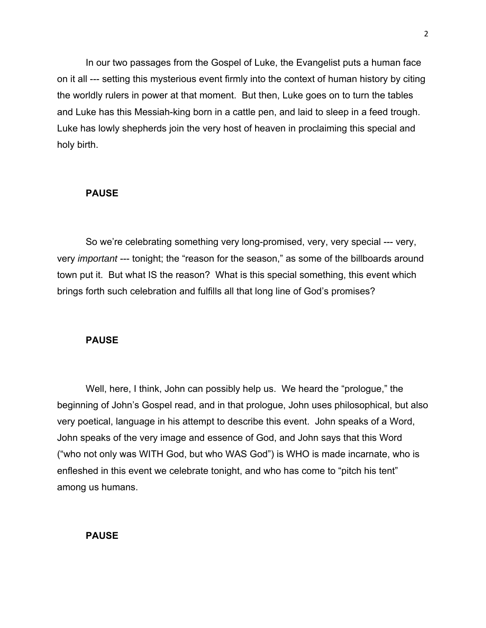In our two passages from the Gospel of Luke, the Evangelist puts a human face on it all --- setting this mysterious event firmly into the context of human history by citing the worldly rulers in power at that moment. But then, Luke goes on to turn the tables and Luke has this Messiah-king born in a cattle pen, and laid to sleep in a feed trough. Luke has lowly shepherds join the very host of heaven in proclaiming this special and holy birth.

#### **PAUSE**

So we're celebrating something very long-promised, very, very special --- very, very *important* --- tonight; the "reason for the season," as some of the billboards around town put it. But what IS the reason? What is this special something, this event which brings forth such celebration and fulfills all that long line of God's promises?

#### **PAUSE**

Well, here, I think, John can possibly help us. We heard the "prologue," the beginning of John's Gospel read, and in that prologue, John uses philosophical, but also very poetical, language in his attempt to describe this event. John speaks of a Word, John speaks of the very image and essence of God, and John says that this Word ("who not only was WITH God, but who WAS God") is WHO is made incarnate, who is enfleshed in this event we celebrate tonight, and who has come to "pitch his tent" among us humans.

### **PAUSE**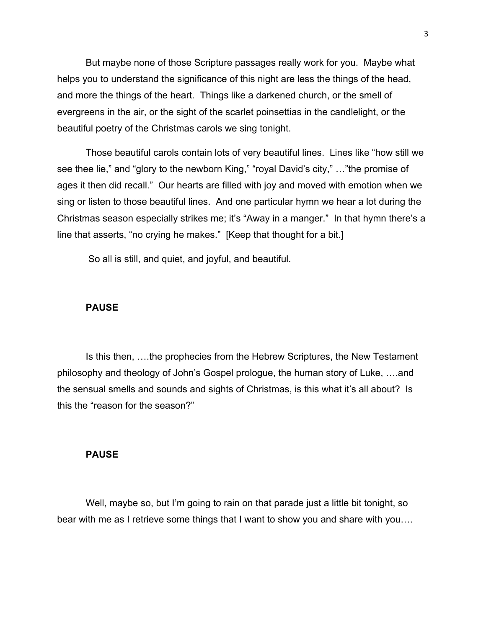But maybe none of those Scripture passages really work for you. Maybe what helps you to understand the significance of this night are less the things of the head, and more the things of the heart. Things like a darkened church, or the smell of evergreens in the air, or the sight of the scarlet poinsettias in the candlelight, or the beautiful poetry of the Christmas carols we sing tonight.

Those beautiful carols contain lots of very beautiful lines. Lines like "how still we see thee lie," and "glory to the newborn King," "royal David's city," …"the promise of ages it then did recall." Our hearts are filled with joy and moved with emotion when we sing or listen to those beautiful lines. And one particular hymn we hear a lot during the Christmas season especially strikes me; it's "Away in a manger." In that hymn there's a line that asserts, "no crying he makes." [Keep that thought for a bit.]

So all is still, and quiet, and joyful, and beautiful.

#### **PAUSE**

Is this then, ….the prophecies from the Hebrew Scriptures, the New Testament philosophy and theology of John's Gospel prologue, the human story of Luke, ….and the sensual smells and sounds and sights of Christmas, is this what it's all about? Is this the "reason for the season?"

#### **PAUSE**

Well, maybe so, but I'm going to rain on that parade just a little bit tonight, so bear with me as I retrieve some things that I want to show you and share with you….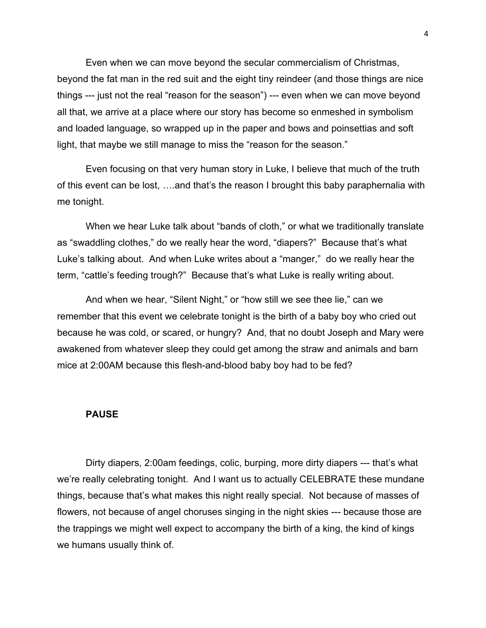Even when we can move beyond the secular commercialism of Christmas, beyond the fat man in the red suit and the eight tiny reindeer (and those things are nice things --- just not the real "reason for the season") --- even when we can move beyond all that, we arrive at a place where our story has become so enmeshed in symbolism and loaded language, so wrapped up in the paper and bows and poinsettias and soft light, that maybe we still manage to miss the "reason for the season."

Even focusing on that very human story in Luke, I believe that much of the truth of this event can be lost, ….and that's the reason I brought this baby paraphernalia with me tonight.

When we hear Luke talk about "bands of cloth," or what we traditionally translate as "swaddling clothes," do we really hear the word, "diapers?" Because that's what Luke's talking about. And when Luke writes about a "manger," do we really hear the term, "cattle's feeding trough?" Because that's what Luke is really writing about.

And when we hear, "Silent Night," or "how still we see thee lie," can we remember that this event we celebrate tonight is the birth of a baby boy who cried out because he was cold, or scared, or hungry? And, that no doubt Joseph and Mary were awakened from whatever sleep they could get among the straw and animals and barn mice at 2:00AM because this flesh-and-blood baby boy had to be fed?

### **PAUSE**

Dirty diapers, 2:00am feedings, colic, burping, more dirty diapers --- that's what we're really celebrating tonight. And I want us to actually CELEBRATE these mundane things, because that's what makes this night really special. Not because of masses of flowers, not because of angel choruses singing in the night skies --- because those are the trappings we might well expect to accompany the birth of a king, the kind of kings we humans usually think of.